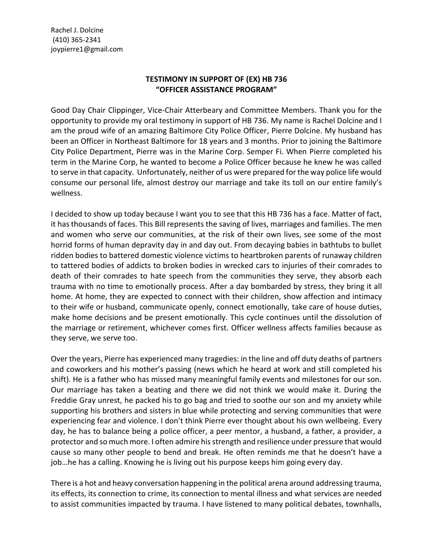Rachel J. Dolcine (410) 365-2341 joypierre1@gmail.com

## **TESTIMONY IN SUPPORT OF (EX) HB 736 "OFFICER ASSISTANCE PROGRAM"**

Good Day Chair Clippinger, Vice-Chair Atterbeary and Committee Members. Thank you for the opportunity to provide my oral testimony in support of HB 736. My name is Rachel Dolcine and I am the proud wife of an amazing Baltimore City Police Officer, Pierre Dolcine. My husband has been an Officer in Northeast Baltimore for 18 years and 3 months. Prior to joining the Baltimore City Police Department, Pierre was in the Marine Corp. Semper Fi. When Pierre completed his term in the Marine Corp, he wanted to become a Police Officer because he knew he was called to serve in that capacity. Unfortunately, neither of us were prepared for the way police life would consume our personal life, almost destroy our marriage and take its toll on our entire family's wellness.

I decided to show up today because I want you to see that this HB 736 has a face. Matter of fact, it has thousands of faces. This Bill represents the saving of lives, marriages and families. The men and women who serve our communities, at the risk of their own lives, see some of the most horrid forms of human depravity day in and day out. From decaying babies in bathtubs to bullet ridden bodies to battered domestic violence victims to heartbroken parents of runaway children to tattered bodies of addicts to broken bodies in wrecked cars to injuries of their comrades to death of their comrades to hate speech from the communities they serve, they absorb each trauma with no time to emotionally process. After a day bombarded by stress, they bring it all home. At home, they are expected to connect with their children, show affection and intimacy to their wife or husband, communicate openly, connect emotionally, take care of house duties, make home decisions and be present emotionally. This cycle continues until the dissolution of the marriage or retirement, whichever comes first. Officer wellness affects families because as they serve, we serve too.

Over the years, Pierre has experienced many tragedies: in the line and off duty deaths of partners and coworkers and his mother's passing (news which he heard at work and still completed his shift). He is a father who has missed many meaningful family events and milestones for our son. Our marriage has taken a beating and there we did not think we would make it. During the Freddie Gray unrest, he packed his to go bag and tried to soothe our son and my anxiety while supporting his brothers and sisters in blue while protecting and serving communities that were experiencing fear and violence. I don't think Pierre ever thought about his own wellbeing. Every day, he has to balance being a police officer, a peer mentor, a husband, a father, a provider, a protector and so much more. I often admire his strength and resilience under pressure that would cause so many other people to bend and break. He often reminds me that he doesn't have a job…he has a calling. Knowing he is living out his purpose keeps him going every day.

There is a hot and heavy conversation happening in the political arena around addressing trauma, its effects, its connection to crime, its connection to mental illness and what services are needed to assist communities impacted by trauma. I have listened to many political debates, townhalls,